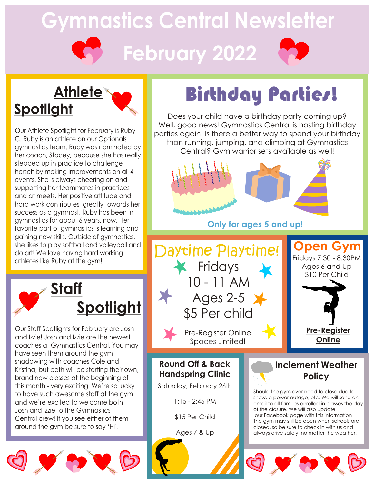# **Gymnastics Central Newsletter February 2022**

## **Athlete Spotlight**

Our Athlete Spotlight for February is Ruby C. Ruby is an athlete on our Optionals gymnastics team. Ruby was nominated by her coach, Stacey, because she has really stepped up in practice to challenge herself by making improvements on all 4 events. She is always cheering on and supporting her teammates in practices and at meets. Her positive attitude and hard work contributes greatly towards her success as a gymnast. Ruby has been in gymnastics for about 6 years, now. Her favorite part of gymnastics is learning and gaining new skills. Outside of gymnastics, she likes to play softball and volleyball and do art! We love having hard working athletes like Ruby at the gym!



Our Staff Spotlights for February are Josh and Izzie! Josh and Izzie are the newest coaches at Gymnastics Central. You may have seen them around the gym shadowing with coaches Cole and Kristina, but both will be starting their own, brand new classes at the beginning of this month - very exciting! We're so lucky to have such awesome staff at the gym and we're excited to welcome both Josh and Izzie to the Gymnastics Central crew! If you see either of them around the gym be sure to say 'Hi'!



# Birthday Parties!

Does your child have a birthday party coming up? Well, good news! Gymnastics Central is hosting birthday parties again! Is there a better way to spend your birthday than running, jumping, and climbing at Gymnastics Central? Gym warrior sets available as well!



**Only for ages 5 and up!**



**Round Off & Back Handspring Clinic**

Saturday, February 26th

1:15 - 2:45 PM

\$15 Per Child

Ages 7 & Up

### **Inclement Weather Policy**

Should the gym ever need to close due to snow, a power outage, etc. We will send an email to all families enrolled in classes the day of the closure. We will also update our Facebook page with this information . The gym may still be open when schools are closed, so be sure to check in with us and always drive safely, no matter the weather!